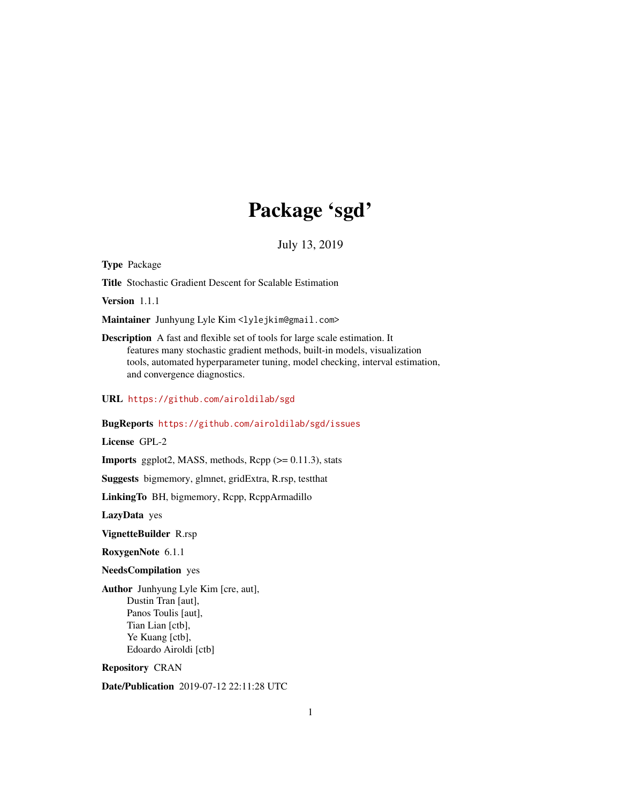# Package 'sgd'

July 13, 2019

<span id="page-0-0"></span>Type Package

Title Stochastic Gradient Descent for Scalable Estimation

Version 1.1.1

Maintainer Junhyung Lyle Kim <lylejkim@gmail.com>

Description A fast and flexible set of tools for large scale estimation. It features many stochastic gradient methods, built-in models, visualization tools, automated hyperparameter tuning, model checking, interval estimation, and convergence diagnostics.

URL <https://github.com/airoldilab/sgd>

#### BugReports <https://github.com/airoldilab/sgd/issues>

License GPL-2

**Imports** ggplot2, MASS, methods,  $\text{Rcpp}$  ( $\geq 0.11.3$ ), stats

Suggests bigmemory, glmnet, gridExtra, R.rsp, testthat

LinkingTo BH, bigmemory, Rcpp, RcppArmadillo

LazyData yes

VignetteBuilder R.rsp

RoxygenNote 6.1.1

NeedsCompilation yes

Author Junhyung Lyle Kim [cre, aut], Dustin Tran [aut], Panos Toulis [aut], Tian Lian [ctb], Ye Kuang [ctb], Edoardo Airoldi [ctb]

Repository CRAN

Date/Publication 2019-07-12 22:11:28 UTC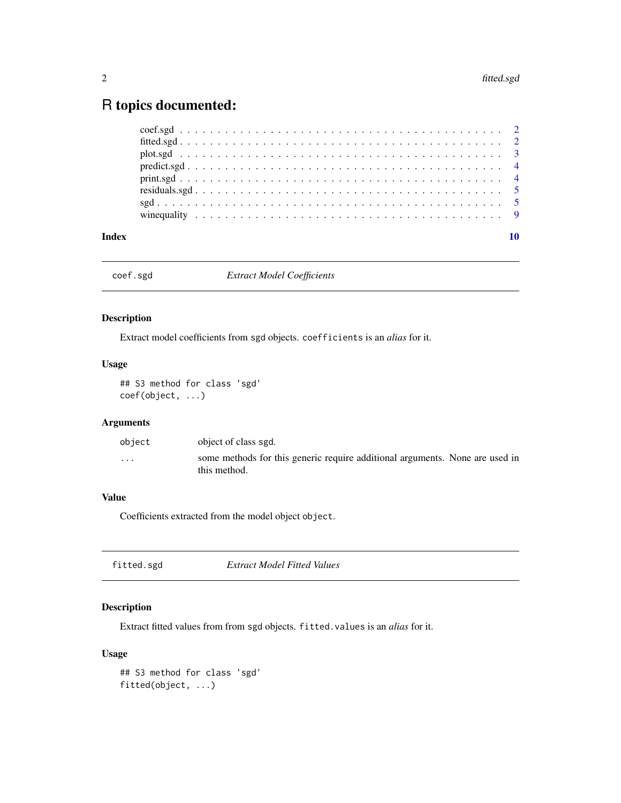## <span id="page-1-0"></span>R topics documented:

| Index |  |  |  |  |  |  |  |  |  |  |  |  |  |  |  |  |
|-------|--|--|--|--|--|--|--|--|--|--|--|--|--|--|--|--|
|       |  |  |  |  |  |  |  |  |  |  |  |  |  |  |  |  |
|       |  |  |  |  |  |  |  |  |  |  |  |  |  |  |  |  |
|       |  |  |  |  |  |  |  |  |  |  |  |  |  |  |  |  |
|       |  |  |  |  |  |  |  |  |  |  |  |  |  |  |  |  |
|       |  |  |  |  |  |  |  |  |  |  |  |  |  |  |  |  |
|       |  |  |  |  |  |  |  |  |  |  |  |  |  |  |  |  |
|       |  |  |  |  |  |  |  |  |  |  |  |  |  |  |  |  |
|       |  |  |  |  |  |  |  |  |  |  |  |  |  |  |  |  |

coef.sgd *Extract Model Coefficients*

#### Description

Extract model coefficients from sgd objects. coefficients is an *alias* for it.

#### Usage

## S3 method for class 'sgd' coef(object, ...)

#### Arguments

| obiect  | object of class sgd.                                                                         |  |
|---------|----------------------------------------------------------------------------------------------|--|
| $\cdot$ | some methods for this generic require additional arguments. None are used in<br>this method. |  |

#### Value

Coefficients extracted from the model object object.

| Extract Model Fitted Values<br>fitted.sgd |  |
|-------------------------------------------|--|
|-------------------------------------------|--|

#### Description

Extract fitted values from from sgd objects. fitted.values is an *alias* for it.

#### Usage

```
## S3 method for class 'sgd'
fitted(object, ...)
```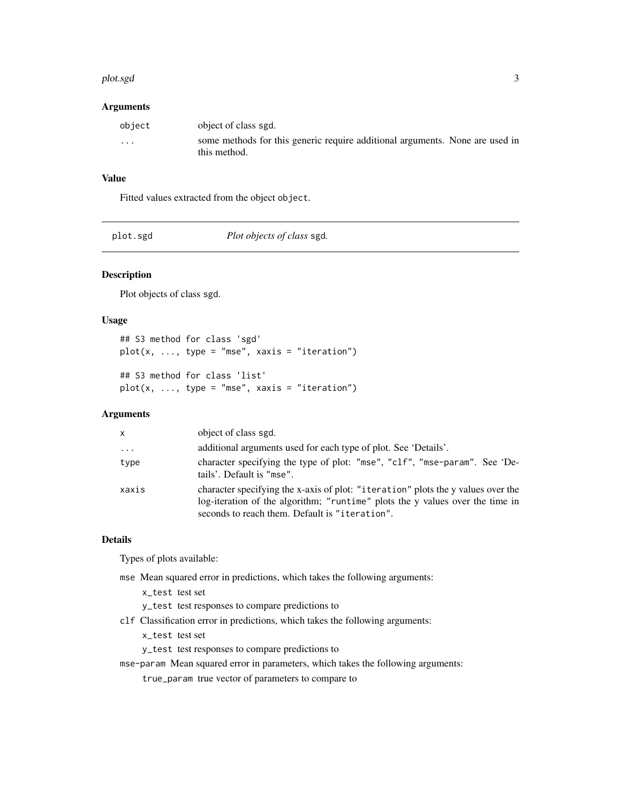#### <span id="page-2-0"></span>plot.sgd 3

#### Arguments

| obiect   | object of class sgd.                                                                         |
|----------|----------------------------------------------------------------------------------------------|
| $\cdots$ | some methods for this generic require additional arguments. None are used in<br>this method. |

#### Value

Fitted values extracted from the object object.

| Plot objects of class sgd.<br>plot.sgd |
|----------------------------------------|
|----------------------------------------|

#### Description

Plot objects of class sgd.

#### Usage

```
## S3 method for class 'sgd'
plot(x, ..., type = "mse", xaxis = "iteration")## S3 method for class 'list'
plot(x, ..., type = "mse", xaxis = "iteration")
```
#### Arguments

| X        | object of class sgd.                                                                                                                                                                                                |
|----------|---------------------------------------------------------------------------------------------------------------------------------------------------------------------------------------------------------------------|
| $\cdots$ | additional arguments used for each type of plot. See 'Details'.                                                                                                                                                     |
| type     | character specifying the type of plot: "mse", "clf", "mse-param". See 'De-<br>tails'. Default is "mse".                                                                                                             |
| xaxis    | character specifying the x-axis of plot: "iteration" plots the y values over the<br>log-iteration of the algorithm; "runtime" plots the y values over the time in<br>seconds to reach them. Default is "iteration". |

#### Details

Types of plots available:

- mse Mean squared error in predictions, which takes the following arguments:
	- x\_test test set
	- y\_test test responses to compare predictions to
- clf Classification error in predictions, which takes the following arguments:

x\_test test set

y\_test test responses to compare predictions to

mse-param Mean squared error in parameters, which takes the following arguments:

true\_param true vector of parameters to compare to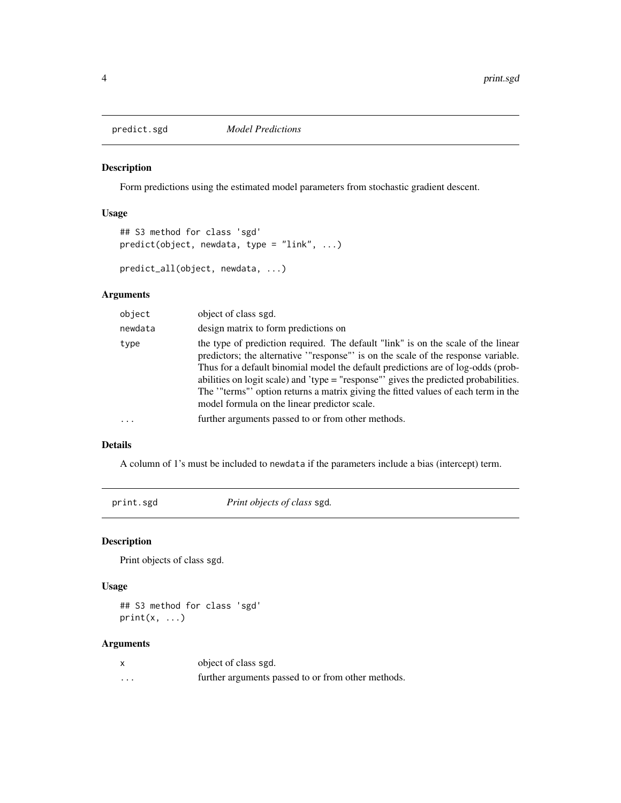<span id="page-3-0"></span>

#### Description

Form predictions using the estimated model parameters from stochastic gradient descent.

#### Usage

```
## S3 method for class 'sgd'
predict(object, newdata, type = "link", ...)
```

```
predict_all(object, newdata, ...)
```
#### Arguments

| object   | object of class sgd.                                                                                                                                                                                                                                                                                                                                                                                                                                                                  |
|----------|---------------------------------------------------------------------------------------------------------------------------------------------------------------------------------------------------------------------------------------------------------------------------------------------------------------------------------------------------------------------------------------------------------------------------------------------------------------------------------------|
| newdata  | design matrix to form predictions on                                                                                                                                                                                                                                                                                                                                                                                                                                                  |
| type     | the type of prediction required. The default "link" is on the scale of the linear<br>predictors; the alternative "response" is on the scale of the response variable.<br>Thus for a default binomial model the default predictions are of log-odds (prob-<br>abilities on logit scale) and 'type = "response"' gives the predicted probabilities.<br>The "terms" option returns a matrix giving the fitted values of each term in the<br>model formula on the linear predictor scale. |
| $\cdots$ | further arguments passed to or from other methods.                                                                                                                                                                                                                                                                                                                                                                                                                                    |

#### Details

A column of 1's must be included to newdata if the parameters include a bias (intercept) term.

print.sgd *Print objects of class* sgd*.*

#### Description

Print objects of class sgd.

#### Usage

## S3 method for class 'sgd'  $print(x, \ldots)$ 

#### Arguments

|   | object of class sgd.                               |
|---|----------------------------------------------------|
| . | further arguments passed to or from other methods. |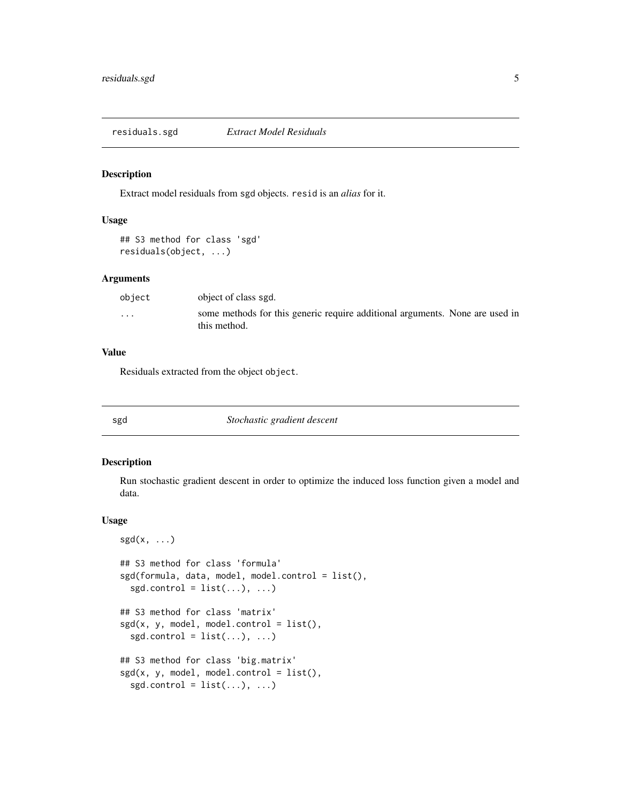<span id="page-4-0"></span>residuals.sgd *Extract Model Residuals*

#### Description

Extract model residuals from sgd objects. resid is an *alias* for it.

#### Usage

```
## S3 method for class 'sgd'
residuals(object, ...)
```
#### Arguments

| object   | object of class sgd.                                                                         |  |
|----------|----------------------------------------------------------------------------------------------|--|
| $\cdots$ | some methods for this generic require additional arguments. None are used in<br>this method. |  |

#### Value

Residuals extracted from the object object.

sgd *Stochastic gradient descent*

#### Description

Run stochastic gradient descent in order to optimize the induced loss function given a model and data.

#### Usage

```
sgd(x, \ldots)## S3 method for class 'formula'
sgd(formula, data, model, model.control = list(),
  sgd.control = list(...), ...## S3 method for class 'matrix'
sgd(x, y, model, model.contrib = list(),sgd.control = list(...), ...## S3 method for class 'big.matrix'
sgd(x, y, model, model.contrib = list(),sgd.control = list(...), ...
```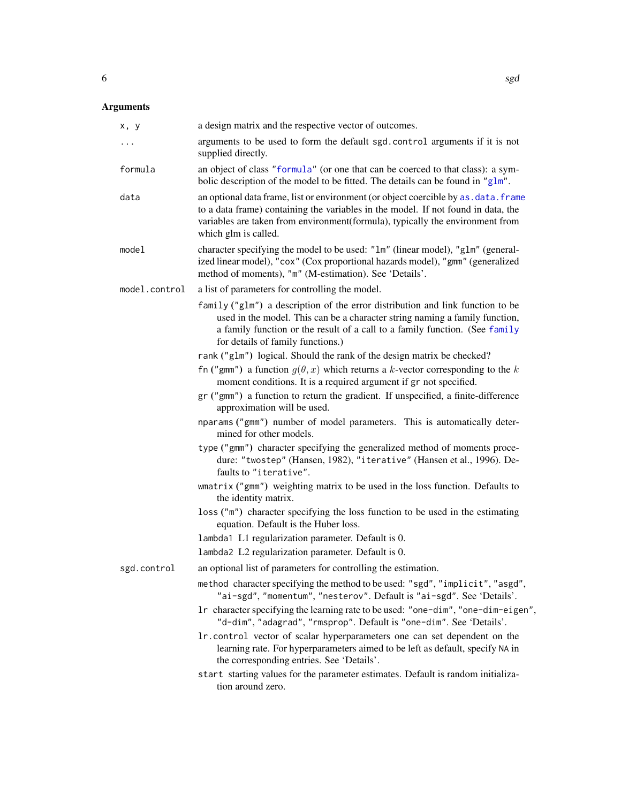### <span id="page-5-0"></span>Arguments

| x, y          | a design matrix and the respective vector of outcomes.                                                                                                                                                                                                                            |
|---------------|-----------------------------------------------------------------------------------------------------------------------------------------------------------------------------------------------------------------------------------------------------------------------------------|
| $\cdots$      | arguments to be used to form the default sgd. control arguments if it is not<br>supplied directly.                                                                                                                                                                                |
| formula       | an object of class "formula" (or one that can be coerced to that class): a sym-<br>bolic description of the model to be fitted. The details can be found in "glm".                                                                                                                |
| data          | an optional data frame, list or environment (or object coercible by as. data. frame<br>to a data frame) containing the variables in the model. If not found in data, the<br>variables are taken from environment(formula), typically the environment from<br>which glm is called. |
| model         | character specifying the model to be used: "1m" (linear model), "g1m" (general-<br>ized linear model), "cox" (Cox proportional hazards model), "gmm" (generalized<br>method of moments), "m" (M-estimation). See 'Details'.                                                       |
| model.control | a list of parameters for controlling the model.                                                                                                                                                                                                                                   |
|               | family ("glm") a description of the error distribution and link function to be<br>used in the model. This can be a character string naming a family function,<br>a family function or the result of a call to a family function. (See family<br>for details of family functions.) |
|               | rank ("g1m") logical. Should the rank of the design matrix be checked?                                                                                                                                                                                                            |
|               | fn ("gmm") a function $g(\theta, x)$ which returns a k-vector corresponding to the k<br>moment conditions. It is a required argument if gr not specified.                                                                                                                         |
|               | gr ("gmm") a function to return the gradient. If unspecified, a finite-difference<br>approximation will be used.                                                                                                                                                                  |
|               | nparams ("gmm") number of model parameters. This is automatically deter-<br>mined for other models.                                                                                                                                                                               |
|               | type ("gmm") character specifying the generalized method of moments proce-<br>dure: "twostep" (Hansen, 1982), "iterative" (Hansen et al., 1996). De-<br>faults to "iterative".                                                                                                    |
|               | wmatrix ("gmm") weighting matrix to be used in the loss function. Defaults to<br>the identity matrix.                                                                                                                                                                             |
|               | loss ("m") character specifying the loss function to be used in the estimating<br>equation. Default is the Huber loss.                                                                                                                                                            |
|               | lambda1 L1 regularization parameter. Default is 0.                                                                                                                                                                                                                                |
|               | 1ambda2 L2 regularization parameter. Default is 0.                                                                                                                                                                                                                                |
| sgd.control   | an optional list of parameters for controlling the estimation.                                                                                                                                                                                                                    |
|               | method character specifying the method to be used: "sgd", "implicit", "asgd",<br>"ai-sgd", "momentum", "nesterov". Default is "ai-sgd". See 'Details'.                                                                                                                            |
|               | 1r character specifying the learning rate to be used: "one-dim", "one-dim-eigen",<br>"d-dim", "adagrad", "rmsprop". Default is "one-dim". See 'Details'.                                                                                                                          |
|               | 1r. control vector of scalar hyperparameters one can set dependent on the<br>learning rate. For hyperparameters aimed to be left as default, specify NA in<br>the corresponding entries. See 'Details'.                                                                           |
|               | start starting values for the parameter estimates. Default is random initializa-<br>tion around zero.                                                                                                                                                                             |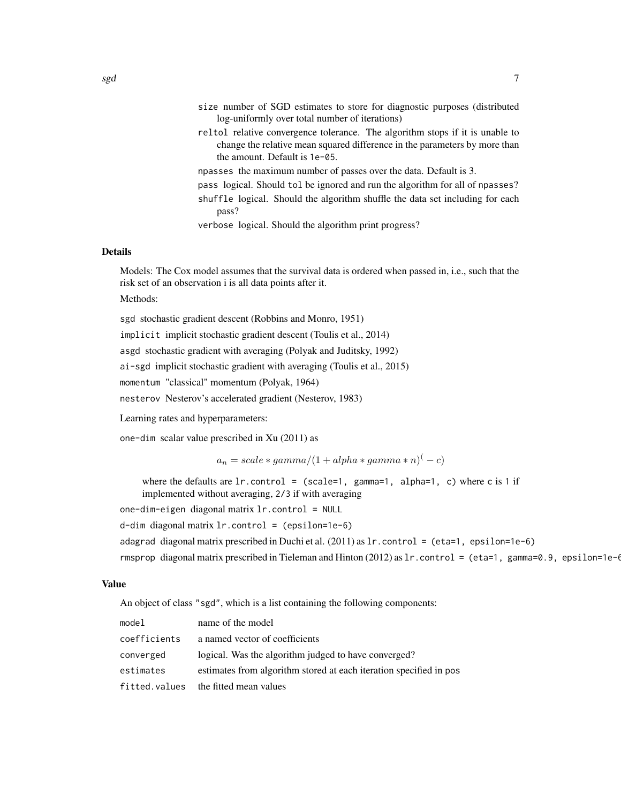- size number of SGD estimates to store for diagnostic purposes (distributed log-uniformly over total number of iterations)
- reltol relative convergence tolerance. The algorithm stops if it is unable to change the relative mean squared difference in the parameters by more than the amount. Default is 1e-05.
- npasses the maximum number of passes over the data. Default is 3.
- pass logical. Should tol be ignored and run the algorithm for all of npasses? shuffle logical. Should the algorithm shuffle the data set including for each pass?
- verbose logical. Should the algorithm print progress?

#### Details

Models: The Cox model assumes that the survival data is ordered when passed in, i.e., such that the risk set of an observation i is all data points after it. Methods:

sgd stochastic gradient descent (Robbins and Monro, 1951) implicit implicit stochastic gradient descent (Toulis et al., 2014) asgd stochastic gradient with averaging (Polyak and Juditsky, 1992) ai-sgd implicit stochastic gradient with averaging (Toulis et al., 2015) momentum "classical" momentum (Polyak, 1964) nesterov Nesterov's accelerated gradient (Nesterov, 1983)

Learning rates and hyperparameters:

one-dim scalar value prescribed in Xu (2011) as

 $a_n = scale * gamma/(1 + alpha * gamma * n)^{(-c)}$ 

where the defaults are  $l$ r.control = (scale=1, gamma=1, alpha=1, c) where c is 1 if

implemented without averaging, 2/3 if with averaging

one-dim-eigen diagonal matrix lr.control = NULL

 $d$ -dim diagonal matrix  $lr$ .control = (epsilon=1e-6)

adagrad diagonal matrix prescribed in Duchi et al.  $(2011)$  as  $1r$ . control = (eta=1, epsilon=1e-6)

rmsprop diagonal matrix prescribed in Tieleman and Hinton (2012) as  $1r$ .control = (eta=1, gamma=0.9, epsilon=1e-6

#### Value

An object of class "sgd", which is a list containing the following components:

| model         | name of the model                                                  |
|---------------|--------------------------------------------------------------------|
| coefficients  | a named vector of coefficients                                     |
| converged     | logical. Was the algorithm judged to have converged?               |
| estimates     | estimates from algorithm stored at each iteration specified in pos |
| fitted.values | the fitted mean values                                             |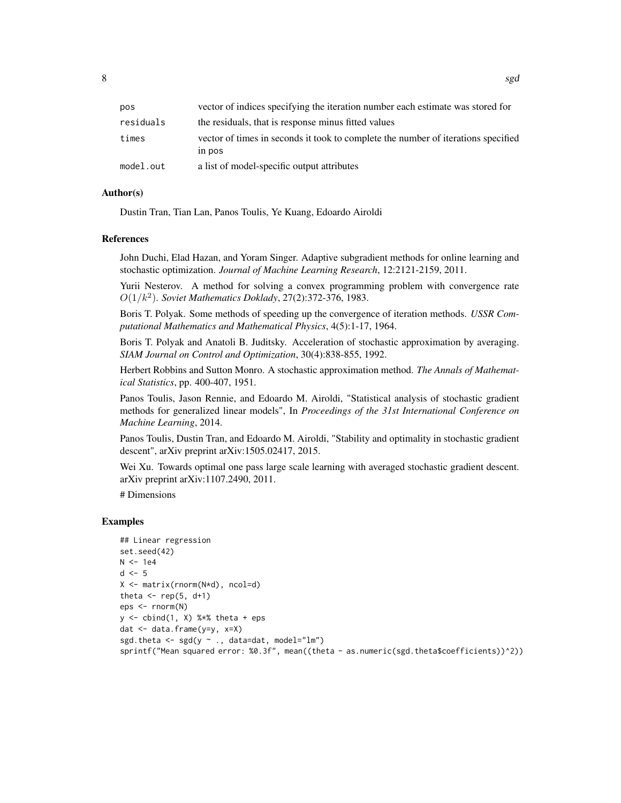| pos       | vector of indices specifying the iteration number each estimate was stored for              |
|-----------|---------------------------------------------------------------------------------------------|
| residuals | the residuals, that is response minus fitted values                                         |
| times     | vector of times in seconds it took to complete the number of iterations specified<br>in pos |
| model.out | a list of model-specific output attributes                                                  |

#### Author(s)

Dustin Tran, Tian Lan, Panos Toulis, Ye Kuang, Edoardo Airoldi

#### References

John Duchi, Elad Hazan, and Yoram Singer. Adaptive subgradient methods for online learning and stochastic optimization. *Journal of Machine Learning Research*, 12:2121-2159, 2011.

Yurii Nesterov. A method for solving a convex programming problem with convergence rate  $O(1/k^2)$ . *Soviet Mathematics Doklady*, 27(2):372-376, 1983.

Boris T. Polyak. Some methods of speeding up the convergence of iteration methods. *USSR Computational Mathematics and Mathematical Physics*, 4(5):1-17, 1964.

Boris T. Polyak and Anatoli B. Juditsky. Acceleration of stochastic approximation by averaging. *SIAM Journal on Control and Optimization*, 30(4):838-855, 1992.

Herbert Robbins and Sutton Monro. A stochastic approximation method. *The Annals of Mathematical Statistics*, pp. 400-407, 1951.

Panos Toulis, Jason Rennie, and Edoardo M. Airoldi, "Statistical analysis of stochastic gradient methods for generalized linear models", In *Proceedings of the 31st International Conference on Machine Learning*, 2014.

Panos Toulis, Dustin Tran, and Edoardo M. Airoldi, "Stability and optimality in stochastic gradient descent", arXiv preprint arXiv:1505.02417, 2015.

Wei Xu. Towards optimal one pass large scale learning with averaged stochastic gradient descent. arXiv preprint arXiv:1107.2490, 2011.

# Dimensions

#### Examples

```
## Linear regression
set.seed(42)
N < -1e4d \leq -5X <- matrix(rnorm(N*d), ncol=d)
theta \leq rep(5, d+1)
eps <- rnorm(N)
y \leftarrow \text{cbind}(1, X) %*% theta + eps
dat <- data.frame(y=y, x=X)
sgd.theta <- sgd(y \sim ., data=dat, model="lm")sprintf("Mean squared error: %0.3f", mean((theta - as.numeric(sgd.theta$coefficients))^2))
```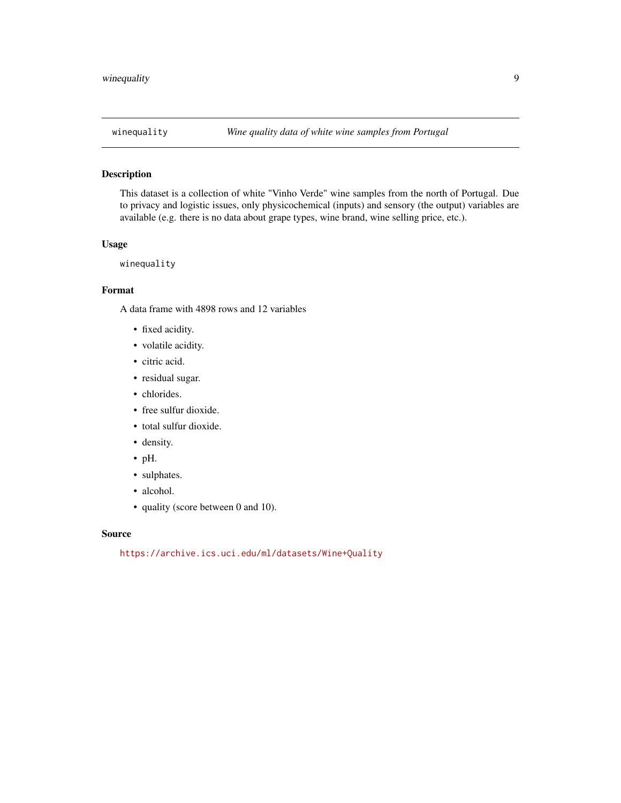<span id="page-8-0"></span>

#### Description

This dataset is a collection of white "Vinho Verde" wine samples from the north of Portugal. Due to privacy and logistic issues, only physicochemical (inputs) and sensory (the output) variables are available (e.g. there is no data about grape types, wine brand, wine selling price, etc.).

#### Usage

winequality

#### Format

A data frame with 4898 rows and 12 variables

- fixed acidity.
- volatile acidity.
- citric acid.
- residual sugar.
- chlorides.
- free sulfur dioxide.
- total sulfur dioxide.
- density.
- pH.
- sulphates.
- alcohol.
- quality (score between 0 and 10).

#### Source

<https://archive.ics.uci.edu/ml/datasets/Wine+Quality>